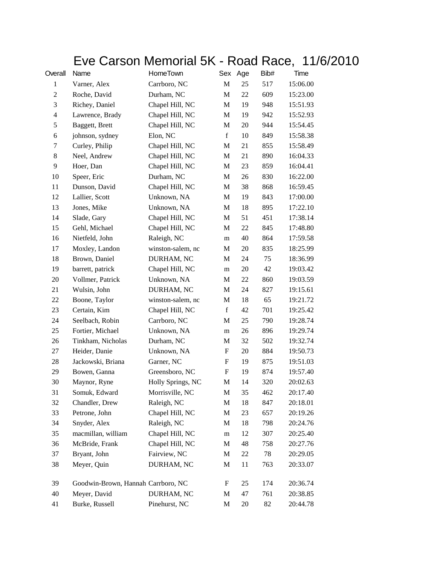## Eve Carson Memorial 5K - Road Race, 11/6/2010

| Overall                  | Name                               | HomeTown          |             | Sex Age | Bib# | Time     |
|--------------------------|------------------------------------|-------------------|-------------|---------|------|----------|
| $\mathbf{1}$             | Varner, Alex                       | Carrboro, NC      | $\mathbf M$ | 25      | 517  | 15:06.00 |
| $\mathfrak{2}$           | Roche, David                       | Durham, NC        | M           | 22      | 609  | 15:23.00 |
| 3                        | Richey, Daniel                     | Chapel Hill, NC   | $\mathbf M$ | 19      | 948  | 15:51.93 |
| $\overline{\mathcal{A}}$ | Lawrence, Brady                    | Chapel Hill, NC   | M           | 19      | 942  | 15:52.93 |
| 5                        | Baggett, Brett                     | Chapel Hill, NC   | M           | 20      | 944  | 15:54.45 |
| 6                        | johnson, sydney                    | Elon, NC          | $\mathbf f$ | 10      | 849  | 15:58.38 |
| 7                        | Curley, Philip                     | Chapel Hill, NC   | M           | 21      | 855  | 15:58.49 |
| 8                        | Neel, Andrew                       | Chapel Hill, NC   | $\mathbf M$ | 21      | 890  | 16:04.33 |
| 9                        | Hoer, Dan                          | Chapel Hill, NC   | M           | 23      | 859  | 16:04.41 |
| 10                       | Speer, Eric                        | Durham, NC        | M           | 26      | 830  | 16:22.00 |
| 11                       | Dunson, David                      | Chapel Hill, NC   | $\mathbf M$ | 38      | 868  | 16:59.45 |
| 12                       | Lallier, Scott                     | Unknown, NA       | M           | 19      | 843  | 17:00.00 |
| 13                       | Jones, Mike                        | Unknown, NA       | M           | 18      | 895  | 17:22.10 |
| 14                       | Slade, Gary                        | Chapel Hill, NC   | M           | 51      | 451  | 17:38.14 |
| 15                       | Gehl, Michael                      | Chapel Hill, NC   | M           | 22      | 845  | 17:48.80 |
| 16                       | Nietfeld, John                     | Raleigh, NC       | m           | 40      | 864  | 17:59.58 |
| 17                       | Moxley, Landon                     | winston-salem, nc | M           | 20      | 835  | 18:25.99 |
| 18                       | Brown, Daniel                      | DURHAM, NC        | M           | 24      | 75   | 18:36.99 |
| 19                       | barrett, patrick                   | Chapel Hill, NC   | m           | 20      | 42   | 19:03.42 |
| 20                       | Vollmer, Patrick                   | Unknown, NA       | M           | 22      | 860  | 19:03.59 |
| 21                       | Wulsin, John                       | DURHAM, NC        | M           | 24      | 827  | 19:15.61 |
| 22                       | Boone, Taylor                      | winston-salem, nc | M           | 18      | 65   | 19:21.72 |
| 23                       | Certain, Kim                       | Chapel Hill, NC   | $\mathbf f$ | 42      | 701  | 19:25.42 |
| 24                       | Seelbach, Robin                    | Carrboro, NC      | M           | 25      | 790  | 19:28.74 |
| 25                       | Fortier, Michael                   | Unknown, NA       | m           | 26      | 896  | 19:29.74 |
| 26                       | Tinkham, Nicholas                  | Durham, NC        | M           | 32      | 502  | 19:32.74 |
| 27                       | Heider, Danie                      | Unknown, NA       | F           | 20      | 884  | 19:50.73 |
| 28                       | Jackowski, Briana                  | Garner, NC        | F           | 19      | 875  | 19:51.03 |
| 29                       | Bowen, Ganna                       | Greensboro, NC    | F           | 19      | 874  | 19:57.40 |
| 30                       | Maynor, Ryne                       | Holly Springs, NC | M           | 14      | 320  | 20:02.63 |
| 31                       | Somuk, Edward                      | Morrisville, NC   | M           | 35      | 462  | 20:17.40 |
| 32                       | Chandler, Drew                     | Raleigh, NC       | M           | 18      | 847  | 20:18.01 |
| 33                       | Petrone, John                      | Chapel Hill, NC   | M           | 23      | 657  | 20:19.26 |
| 34                       | Snyder, Alex                       | Raleigh, NC       | M           | 18      | 798  | 20:24.76 |
| 35                       | macmillan, william                 | Chapel Hill, NC   | ${\rm m}$   | 12      | 307  | 20:25.40 |
| 36                       | McBride, Frank                     | Chapel Hill, NC   | M           | 48      | 758  | 20:27.76 |
| 37                       | Bryant, John                       | Fairview, NC      | M           | 22      | 78   | 20:29.05 |
| 38                       | Meyer, Quin                        | DURHAM, NC        | M           | 11      | 763  | 20:33.07 |
| 39                       | Goodwin-Brown, Hannah Carrboro, NC |                   | ${\bf F}$   | 25      | 174  | 20:36.74 |
| 40                       | Meyer, David                       | DURHAM, NC        | M           | 47      | 761  | 20:38.85 |
| 41                       | Burke, Russell                     | Pinehurst, NC     | M           | 20      | 82   | 20:44.78 |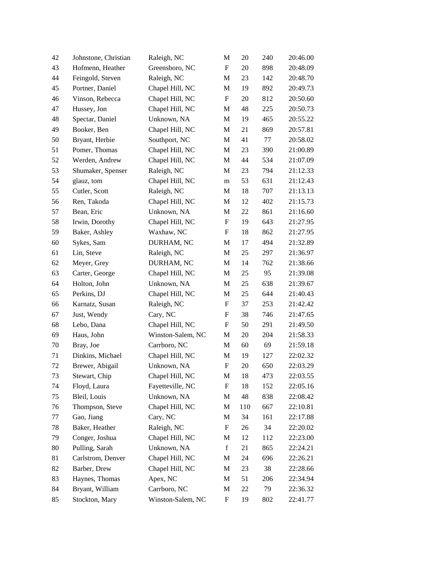| 42 | Johnstone, Christian | Raleigh, NC       | M                         | 20  | 240 | 20:46.00 |
|----|----------------------|-------------------|---------------------------|-----|-----|----------|
| 43 | Hofmenn, Heather     | Greensboro, NC    | ${\bf F}$                 | 20  | 898 | 20:48.09 |
| 44 | Feingold, Steven     | Raleigh, NC       | M                         | 23  | 142 | 20:48.70 |
| 45 | Portner, Daniel      | Chapel Hill, NC   | M                         | 19  | 892 | 20:49.73 |
| 46 | Vinson, Rebecca      | Chapel Hill, NC   | ${\bf F}$                 | 20  | 812 | 20:50.60 |
| 47 | Hussey, Jon          | Chapel Hill, NC   | M                         | 48  | 225 | 20:50.73 |
| 48 | Spectar, Daniel      | Unknown, NA       | M                         | 19  | 465 | 20:55.22 |
| 49 | Booker, Ben          | Chapel Hill, NC   | M                         | 21  | 869 | 20:57.81 |
| 50 | Bryant, Herbie       | Southport, NC     | M                         | 41  | 77  | 20:58.02 |
| 51 | Pomer, Thomas        | Chapel Hill, NC   | M                         | 23  | 390 | 21:00.89 |
| 52 | Werden, Andrew       | Chapel Hill, NC   | M                         | 44  | 534 | 21:07.09 |
| 53 | Shumaker, Spenser    | Raleigh, NC       | M                         | 23  | 794 | 21:12.33 |
| 54 | glauz, tom           | Chapel Hill, NC   | m                         | 53  | 631 | 21:12.43 |
| 55 | Cutler, Scott        | Raleigh, NC       | M                         | 18  | 707 | 21:13.13 |
| 56 | Ren, Takoda          | Chapel Hill, NC   | M                         | 12  | 402 | 21:15.73 |
| 57 | Bean, Eric           | Unknown, NA       | M                         | 22  | 861 | 21:16.60 |
| 58 | Irwin, Dorothy       | Chapel Hill, NC   | F                         | 19  | 643 | 21:27.95 |
| 59 | Baker, Ashley        | Waxhaw, NC        | $\boldsymbol{\mathrm{F}}$ | 18  | 862 | 21:27.95 |
| 60 | Sykes, Sam           | DURHAM, NC        | M                         | 17  | 494 | 21:32.89 |
| 61 | Lin, Steve           | Raleigh, NC       | M                         | 25  | 297 | 21:36.97 |
| 62 | Meyer, Grey          | DURHAM, NC        | M                         | 14  | 762 | 21:38.66 |
| 63 | Carter, George       | Chapel Hill, NC   | M                         | 25  | 95  | 21:39.08 |
| 64 | Holton, John         | Unknown, NA       | M                         | 25  | 638 | 21:39.67 |
| 65 | Perkins, DJ          | Chapel Hill, NC   | M                         | 25  | 644 | 21:40.43 |
| 66 | Karnatz, Susan       | Raleigh, NC       | ${\bf F}$                 | 37  | 253 | 21:42.42 |
| 67 | Just, Wendy          | Cary, NC          | $\boldsymbol{\mathrm{F}}$ | 38  | 746 | 21:47.65 |
| 68 | Lebo, Dana           | Chapel Hill, NC   | F                         | 50  | 291 | 21:49.50 |
| 69 | Haus, John           | Winston-Salem, NC | M                         | 20  | 204 | 21:58.33 |
| 70 | Bray, Joe            | Carrboro, NC      | M                         | 60  | 69  | 21:59.18 |
| 71 | Dinkins, Michael     | Chapel Hill, NC   | M                         | 19  | 127 | 22:02.32 |
| 72 | Brewer, Abigail      | Unknown, NA       | $\boldsymbol{\mathrm{F}}$ | 20  | 650 | 22:03.29 |
| 73 | Stewart, Chip        | Chapel Hill, NC   | M                         | 18  | 473 | 22:03.55 |
| 74 | Floyd, Laura         | Fayetteville, NC  | $\boldsymbol{\mathrm{F}}$ | 18  | 152 | 22:05.16 |
| 75 | Bleil, Louis         | Unknown, NA       | M                         | 48  | 838 | 22:08.42 |
| 76 | Thompson, Steve      | Chapel Hill, NC   | M                         | 110 | 667 | 22:10.81 |
| 77 | Gao, Jiang           | Cary, NC          | M                         | 34  | 161 | 22:17.88 |
| 78 | Baker, Heather       | Raleigh, NC       | $\boldsymbol{F}$          | 26  | 34  | 22:20.02 |
| 79 | Conger, Joshua       | Chapel Hill, NC   | M                         | 12  | 112 | 22:23.00 |
| 80 | Pulling, Sarah       | Unknown, NA       | $\mathbf f$               | 21  | 865 | 22:24.21 |
| 81 | Carlstrom, Denver    | Chapel Hill, NC   | M                         | 24  | 696 | 22:26.21 |
| 82 | Barber, Drew         | Chapel Hill, NC   | M                         | 23  | 38  | 22:28.66 |
| 83 | Haynes, Thomas       | Apex, NC          | M                         | 51  | 206 | 22:34.94 |
| 84 | Bryant, William      | Carrboro, NC      | M                         | 22  | 79  | 22:36.32 |
| 85 | Stockton, Mary       | Winston-Salem, NC | ${\bf F}$                 | 19  | 802 | 22:41.77 |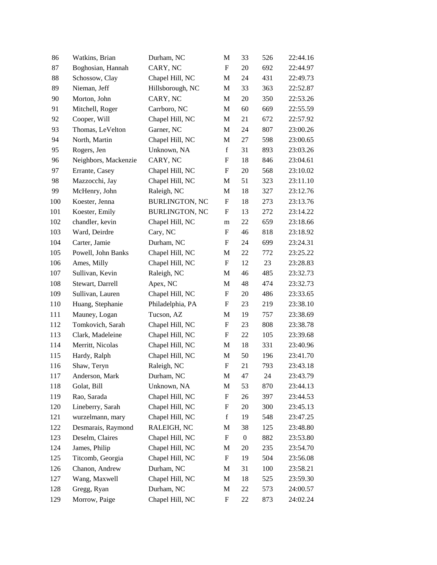| 86  | Watkins, Brian       | Durham, NC            | M                         | 33               | 526 | 22:44.16 |
|-----|----------------------|-----------------------|---------------------------|------------------|-----|----------|
| 87  | Boghosian, Hannah    | CARY, NC              | $\mathbf F$               | 20               | 692 | 22:44.97 |
| 88  | Schossow, Clay       | Chapel Hill, NC       | M                         | 24               | 431 | 22:49.73 |
| 89  | Nieman, Jeff         | Hillsborough, NC      | M                         | 33               | 363 | 22:52.87 |
| 90  | Morton, John         | CARY, NC              | M                         | 20               | 350 | 22:53.26 |
| 91  | Mitchell, Roger      | Carrboro, NC          | M                         | 60               | 669 | 22:55.59 |
| 92  | Cooper, Will         | Chapel Hill, NC       | M                         | 21               | 672 | 22:57.92 |
| 93  | Thomas, LeVelton     | Garner, NC            | $\mathbf M$               | 24               | 807 | 23:00.26 |
| 94  | North, Martin        | Chapel Hill, NC       | M                         | 27               | 598 | 23:00.65 |
| 95  | Rogers, Jen          | Unknown, NA           | $\mathbf f$               | 31               | 893 | 23:03.26 |
| 96  | Neighbors, Mackenzie | CARY, NC              | $\boldsymbol{\mathrm{F}}$ | 18               | 846 | 23:04.61 |
| 97  | Errante, Casey       | Chapel Hill, NC       | F                         | 20               | 568 | 23:10.02 |
| 98  | Mazzocchi, Jay       | Chapel Hill, NC       | $\mathbf M$               | 51               | 323 | 23:11.10 |
| 99  | McHenry, John        | Raleigh, NC           | $\mathbf M$               | 18               | 327 | 23:12.76 |
| 100 | Koester, Jenna       | <b>BURLINGTON, NC</b> | $\boldsymbol{\mathrm{F}}$ | 18               | 273 | 23:13.76 |
| 101 | Koester, Emily       | <b>BURLINGTON, NC</b> | F                         | 13               | 272 | 23:14.22 |
| 102 | chandler, kevin      | Chapel Hill, NC       | m                         | 22               | 659 | 23:18.66 |
| 103 | Ward, Deirdre        | Cary, NC              | $\boldsymbol{\mathrm{F}}$ | 46               | 818 | 23:18.92 |
| 104 | Carter, Jamie        | Durham, NC            | F                         | 24               | 699 | 23:24.31 |
| 105 | Powell, John Banks   | Chapel Hill, NC       | $\mathbf M$               | 22               | 772 | 23:25.22 |
| 106 | Ames, Milly          | Chapel Hill, NC       | ${\bf F}$                 | 12               | 23  | 23:28.83 |
| 107 | Sullivan, Kevin      | Raleigh, NC           | $\mathbf M$               | 46               | 485 | 23:32.73 |
| 108 | Stewart, Darrell     | Apex, NC              | $\mathbf M$               | 48               | 474 | 23:32.73 |
| 109 | Sullivan, Lauren     | Chapel Hill, NC       | $\boldsymbol{F}$          | 20               | 486 | 23:33.65 |
| 110 | Huang, Stephanie     | Philadelphia, PA      | F                         | 23               | 219 | 23:38.10 |
| 111 | Mauney, Logan        | Tucson, AZ            | $\mathbf M$               | 19               | 757 | 23:38.69 |
| 112 | Tomkovich, Sarah     | Chapel Hill, NC       | F                         | 23               | 808 | 23:38.78 |
| 113 | Clark, Madeleine     | Chapel Hill, NC       | $\boldsymbol{\mathrm{F}}$ | 22               | 105 | 23:39.68 |
| 114 | Merritt, Nicolas     | Chapel Hill, NC       | M                         | 18               | 331 | 23:40.96 |
| 115 | Hardy, Ralph         | Chapel Hill, NC       | $\mathbf M$               | 50               | 196 | 23:41.70 |
| 116 | Shaw, Teryn          | Raleigh, NC           | $\boldsymbol{\mathrm{F}}$ | 21               | 793 | 23:43.18 |
| 117 | Anderson, Mark       | Durham, NC            | M                         | 47               | 24  | 23:43.79 |
| 118 | Golat, Bill          | Unknown, NA           | M                         | 53               | 870 | 23:44.13 |
| 119 | Rao, Sarada          | Chapel Hill, NC       | $\boldsymbol{F}$          | 26               | 397 | 23:44.53 |
| 120 | Lineberry, Sarah     | Chapel Hill, NC       | $\boldsymbol{F}$          | 20               | 300 | 23:45.13 |
| 121 | wurzelmann, mary     | Chapel Hill, NC       | $\mathbf f$               | 19               | 548 | 23:47.25 |
| 122 | Desmarais, Raymond   | RALEIGH, NC           | M                         | 38               | 125 | 23:48.80 |
| 123 | Deselm, Claires      | Chapel Hill, NC       | $\boldsymbol{\mathrm{F}}$ | $\boldsymbol{0}$ | 882 | 23:53.80 |
| 124 | James, Philip        | Chapel Hill, NC       | M                         | 20               | 235 | 23:54.70 |
| 125 | Titcomb, Georgia     | Chapel Hill, NC       | F                         | 19               | 504 | 23:56.08 |
| 126 | Chanon, Andrew       | Durham, NC            | M                         | 31               | 100 | 23:58.21 |
| 127 | Wang, Maxwell        | Chapel Hill, NC       | M                         | 18               | 525 | 23:59.30 |
| 128 | Gregg, Ryan          | Durham, NC            | M                         | $22\,$           | 573 | 24:00.57 |
| 129 | Morrow, Paige        | Chapel Hill, NC       | $\boldsymbol{F}$          | 22               | 873 | 24:02.24 |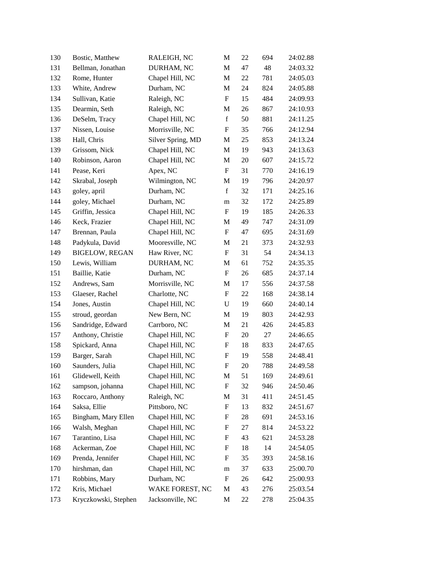| 130 | Bostic, Matthew       | RALEIGH, NC       | M                         | 22 | 694 | 24:02.88 |
|-----|-----------------------|-------------------|---------------------------|----|-----|----------|
| 131 | Bellman, Jonathan     | DURHAM, NC        | M                         | 47 | 48  | 24:03.32 |
| 132 | Rome, Hunter          | Chapel Hill, NC   | M                         | 22 | 781 | 24:05.03 |
| 133 | White, Andrew         | Durham, NC        | M                         | 24 | 824 | 24:05.88 |
| 134 | Sullivan, Katie       | Raleigh, NC       | F                         | 15 | 484 | 24:09.93 |
| 135 | Dearmin, Seth         | Raleigh, NC       | M                         | 26 | 867 | 24:10.93 |
| 136 | DeSelm, Tracy         | Chapel Hill, NC   | $\mathbf f$               | 50 | 881 | 24:11.25 |
| 137 | Nissen, Louise        | Morrisville, NC   | $\boldsymbol{\mathrm{F}}$ | 35 | 766 | 24:12.94 |
| 138 | Hall, Chris           | Silver Spring, MD | M                         | 25 | 853 | 24:13.24 |
| 139 | Grissom, Nick         | Chapel Hill, NC   | M                         | 19 | 943 | 24:13.63 |
| 140 | Robinson, Aaron       | Chapel Hill, NC   | M                         | 20 | 607 | 24:15.72 |
| 141 | Pease, Keri           | Apex, NC          | F                         | 31 | 770 | 24:16.19 |
| 142 | Skrabal, Joseph       | Wilmington, NC    | M                         | 19 | 796 | 24:20.97 |
| 143 | goley, april          | Durham, NC        | $\mathbf f$               | 32 | 171 | 24:25.16 |
| 144 | goley, Michael        | Durham, NC        | m                         | 32 | 172 | 24:25.89 |
| 145 | Griffin, Jessica      | Chapel Hill, NC   | ${\bf F}$                 | 19 | 185 | 24:26.33 |
| 146 | Keck, Frazier         | Chapel Hill, NC   | M                         | 49 | 747 | 24:31.09 |
| 147 | Brennan, Paula        | Chapel Hill, NC   | $\boldsymbol{\mathrm{F}}$ | 47 | 695 | 24:31.69 |
| 148 | Padykula, David       | Mooresville, NC   | M                         | 21 | 373 | 24:32.93 |
| 149 | <b>BIGELOW, REGAN</b> | Haw River, NC     | F                         | 31 | 54  | 24:34.13 |
| 150 | Lewis, William        | DURHAM, NC        | M                         | 61 | 752 | 24:35.35 |
| 151 | Baillie, Katie        | Durham, NC        | F                         | 26 | 685 | 24:37.14 |
| 152 | Andrews, Sam          | Morrisville, NC   | M                         | 17 | 556 | 24:37.58 |
| 153 | Glaeser, Rachel       | Charlotte, NC     | $\mathbf F$               | 22 | 168 | 24:38.14 |
| 154 | Jones, Austin         | Chapel Hill, NC   | U                         | 19 | 660 | 24:40.14 |
| 155 | stroud, geordan       | New Bern, NC      | M                         | 19 | 803 | 24:42.93 |
| 156 | Sandridge, Edward     | Carrboro, NC      | M                         | 21 | 426 | 24:45.83 |
| 157 | Anthony, Christie     | Chapel Hill, NC   | $\boldsymbol{F}$          | 20 | 27  | 24:46.65 |
| 158 | Spickard, Anna        | Chapel Hill, NC   | $\mathbf F$               | 18 | 833 | 24:47.65 |
| 159 | Barger, Sarah         | Chapel Hill, NC   | $\mathbf F$               | 19 | 558 | 24:48.41 |
| 160 | Saunders, Julia       | Chapel Hill, NC   | ${\bf F}$                 | 20 | 788 | 24:49.58 |
| 161 | Glidewell, Keith      | Chapel Hill, NC   | M                         | 51 | 169 | 24:49.61 |
| 162 | sampson, johanna      | Chapel Hill, NC   | $\boldsymbol{\mathrm{F}}$ | 32 | 946 | 24:50.46 |
| 163 | Roccaro, Anthony      | Raleigh, NC       | M                         | 31 | 411 | 24:51.45 |
| 164 | Saksa, Ellie          | Pittsboro, NC     | F                         | 13 | 832 | 24:51.67 |
| 165 | Bingham, Mary Ellen   | Chapel Hill, NC   | F                         | 28 | 691 | 24:53.16 |
| 166 | Walsh, Meghan         | Chapel Hill, NC   | F                         | 27 | 814 | 24:53.22 |
| 167 | Tarantino, Lisa       | Chapel Hill, NC   | ${\bf F}$                 | 43 | 621 | 24:53.28 |
| 168 | Ackerman, Zoe         | Chapel Hill, NC   | F                         | 18 | 14  | 24:54.05 |
| 169 | Prenda, Jennifer      | Chapel Hill, NC   | F                         | 35 | 393 | 24:58.16 |
| 170 | hirshman, dan         | Chapel Hill, NC   | m                         | 37 | 633 | 25:00.70 |
| 171 | Robbins, Mary         | Durham, NC        | F                         | 26 | 642 | 25:00.93 |
| 172 | Kris, Michael         | WAKE FOREST, NC   | M                         | 43 | 276 | 25:03.54 |
| 173 | Kryczkowski, Stephen  | Jacksonville, NC  | M                         | 22 | 278 | 25:04.35 |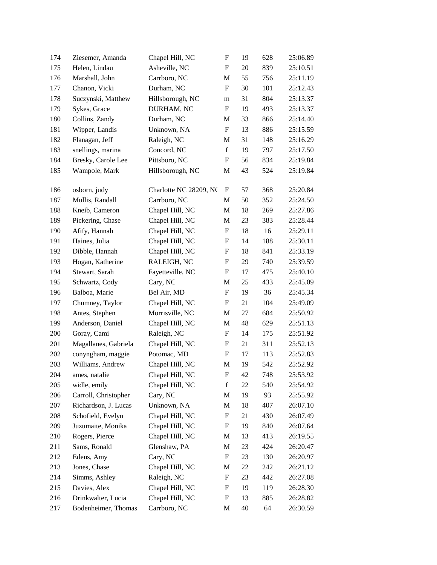| 174 | Ziesemer, Amanda     | Chapel Hill, NC        | $\boldsymbol{\mathrm{F}}$ | 19 | 628 | 25:06.89 |
|-----|----------------------|------------------------|---------------------------|----|-----|----------|
| 175 | Helen, Lindau        | Asheville, NC          | F                         | 20 | 839 | 25:10.51 |
| 176 | Marshall, John       | Carrboro, NC           | M                         | 55 | 756 | 25:11.19 |
| 177 | Chanon, Vicki        | Durham, NC             | $\boldsymbol{\mathrm{F}}$ | 30 | 101 | 25:12.43 |
| 178 | Suczynski, Matthew   | Hillsborough, NC       | m                         | 31 | 804 | 25:13.37 |
| 179 | Sykes, Grace         | DURHAM, NC             | $\mathbf F$               | 19 | 493 | 25:13.37 |
| 180 | Collins, Zandy       | Durham, NC             | M                         | 33 | 866 | 25:14.40 |
| 181 | Wipper, Landis       | Unknown, NA            | $\boldsymbol{\mathrm{F}}$ | 13 | 886 | 25:15.59 |
| 182 | Flanagan, Jeff       | Raleigh, NC            | M                         | 31 | 148 | 25:16.29 |
| 183 | snellings, marina    | Concord, NC            | $\mathbf f$               | 19 | 797 | 25:17.50 |
| 184 | Bresky, Carole Lee   | Pittsboro, NC          | $\boldsymbol{\mathrm{F}}$ | 56 | 834 | 25:19.84 |
| 185 | Wampole, Mark        | Hillsborough, NC       | M                         | 43 | 524 | 25:19.84 |
| 186 | osborn, judy         | Charlotte NC 28209, NC | F                         | 57 | 368 | 25:20.84 |
| 187 | Mullis, Randall      | Carrboro, NC           | M                         | 50 | 352 | 25:24.50 |
| 188 | Kneib, Cameron       | Chapel Hill, NC        | M                         | 18 | 269 | 25:27.86 |
| 189 | Pickering, Chase     | Chapel Hill, NC        | M                         | 23 | 383 | 25:28.44 |
| 190 | Afify, Hannah        | Chapel Hill, NC        | F                         | 18 | 16  | 25:29.11 |
| 191 | Haines, Julia        | Chapel Hill, NC        | F                         | 14 | 188 | 25:30.11 |
| 192 | Dibble, Hannah       | Chapel Hill, NC        | F                         | 18 | 841 | 25:33.19 |
| 193 | Hogan, Katherine     | RALEIGH, NC            | F                         | 29 | 740 | 25:39.59 |
| 194 | Stewart, Sarah       | Fayetteville, NC       | F                         | 17 | 475 | 25:40.10 |
| 195 | Schwartz, Cody       | Cary, NC               | M                         | 25 | 433 | 25:45.09 |
| 196 | Balboa, Marie        | Bel Air, MD            | $\boldsymbol{\mathrm{F}}$ | 19 | 36  | 25:45.34 |
| 197 | Chumney, Taylor      | Chapel Hill, NC        | $\boldsymbol{F}$          | 21 | 104 | 25:49.09 |
| 198 | Antes, Stephen       | Morrisville, NC        | M                         | 27 | 684 | 25:50.92 |
| 199 | Anderson, Daniel     | Chapel Hill, NC        | M                         | 48 | 629 | 25:51.13 |
| 200 | Goray, Cami          | Raleigh, NC            | F                         | 14 | 175 | 25:51.92 |
| 201 | Magallanes, Gabriela | Chapel Hill, NC        | $\boldsymbol{F}$          | 21 | 311 | 25:52.13 |
| 202 | conyngham, maggie    | Potomac, MD            | F                         | 17 | 113 | 25:52.83 |
| 203 | Williams, Andrew     | Chapel Hill, NC        | M                         | 19 | 542 | 25:52.92 |
| 204 | ames, natalie        | Chapel Hill, NC        | $\boldsymbol{\mathrm{F}}$ | 42 | 748 | 25:53.92 |
| 205 | widle, emily         | Chapel Hill, NC        | $\mathbf f$               | 22 | 540 | 25:54.92 |
| 206 | Carroll, Christopher | Cary, NC               | M                         | 19 | 93  | 25:55.92 |
| 207 | Richardson, J. Lucas | Unknown, NA            | M                         | 18 | 407 | 26:07.10 |
| 208 | Schofield, Evelyn    | Chapel Hill, NC        | ${\bf F}$                 | 21 | 430 | 26:07.49 |
| 209 | Juzumaite, Monika    | Chapel Hill, NC        | $\boldsymbol{F}$          | 19 | 840 | 26:07.64 |
| 210 | Rogers, Pierce       | Chapel Hill, NC        | M                         | 13 | 413 | 26:19.55 |
| 211 | Sams, Ronald         | Glenshaw, PA           | M                         | 23 | 424 | 26:20.47 |
| 212 | Edens, Amy           | Cary, NC               | $\boldsymbol{F}$          | 23 | 130 | 26:20.97 |
| 213 | Jones, Chase         | Chapel Hill, NC        | M                         | 22 | 242 | 26:21.12 |
| 214 | Simms, Ashley        | Raleigh, NC            | $\boldsymbol{F}$          | 23 | 442 | 26:27.08 |
| 215 | Davies, Alex         | Chapel Hill, NC        | $\boldsymbol{F}$          | 19 | 119 | 26:28.30 |
| 216 | Drinkwalter, Lucia   | Chapel Hill, NC        | $\boldsymbol{F}$          | 13 | 885 | 26:28.82 |
| 217 | Bodenheimer, Thomas  | Carrboro, NC           | M                         | 40 | 64  | 26:30.59 |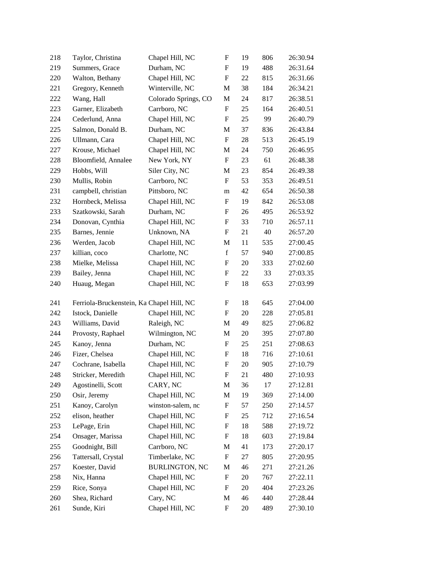| 218 | Taylor, Christina                         | Chapel Hill, NC       | F                         | 19 | 806 | 26:30.94 |
|-----|-------------------------------------------|-----------------------|---------------------------|----|-----|----------|
| 219 | Summers, Grace                            | Durham, NC            | F                         | 19 | 488 | 26:31.64 |
| 220 | Walton, Bethany                           | Chapel Hill, NC       | F                         | 22 | 815 | 26:31.66 |
| 221 | Gregory, Kenneth                          | Winterville, NC       | M                         | 38 | 184 | 26:34.21 |
| 222 | Wang, Hall                                | Colorado Springs, CO  | M                         | 24 | 817 | 26:38.51 |
| 223 | Garner, Elizabeth                         | Carrboro, NC          | F                         | 25 | 164 | 26:40.51 |
| 224 | Cederlund, Anna                           | Chapel Hill, NC       | F                         | 25 | 99  | 26:40.79 |
| 225 | Salmon, Donald B.                         | Durham, NC            | M                         | 37 | 836 | 26:43.84 |
| 226 | Ullmann, Cara                             | Chapel Hill, NC       | ${\bf F}$                 | 28 | 513 | 26:45.19 |
| 227 | Krouse, Michael                           | Chapel Hill, NC       | M                         | 24 | 750 | 26:46.95 |
| 228 | Bloomfield, Annalee                       | New York, NY          | $\boldsymbol{\mathrm{F}}$ | 23 | 61  | 26:48.38 |
| 229 | Hobbs, Will                               | Siler City, NC        | M                         | 23 | 854 | 26:49.38 |
| 230 | Mullis, Robin                             | Carrboro, NC          | F                         | 53 | 353 | 26:49.51 |
| 231 | campbell, christian                       | Pittsboro, NC         | m                         | 42 | 654 | 26:50.38 |
| 232 | Hornbeck, Melissa                         | Chapel Hill, NC       | F                         | 19 | 842 | 26:53.08 |
| 233 | Szatkowski, Sarah                         | Durham, NC            | F                         | 26 | 495 | 26:53.92 |
| 234 | Donovan, Cynthia                          | Chapel Hill, NC       | F                         | 33 | 710 | 26:57.11 |
| 235 | Barnes, Jennie                            | Unknown, NA           | F                         | 21 | 40  | 26:57.20 |
| 236 | Werden, Jacob                             | Chapel Hill, NC       | M                         | 11 | 535 | 27:00.45 |
| 237 | killian, coco                             | Charlotte, NC         | $\mathbf f$               | 57 | 940 | 27:00.85 |
| 238 | Mielke, Melissa                           | Chapel Hill, NC       | F                         | 20 | 333 | 27:02.60 |
| 239 | Bailey, Jenna                             | Chapel Hill, NC       | F                         | 22 | 33  | 27:03.35 |
| 240 | Huaug, Megan                              | Chapel Hill, NC       | F                         | 18 | 653 | 27:03.99 |
| 241 | Ferriola-Bruckenstein, Ka Chapel Hill, NC |                       | F                         | 18 | 645 | 27:04.00 |
| 242 | Istock, Danielle                          | Chapel Hill, NC       | F                         | 20 | 228 | 27:05.81 |
| 243 | Williams, David                           | Raleigh, NC           | M                         | 49 | 825 | 27:06.82 |
| 244 | Provosty, Raphael                         | Wilmington, NC        | M                         | 20 | 395 | 27:07.80 |
| 245 | Kanoy, Jenna                              | Durham, NC            | F                         | 25 | 251 | 27:08.63 |
| 246 | Fizer, Chelsea                            | Chapel Hill, NC       | F                         | 18 | 716 | 27:10.61 |
| 247 | Cochrane, Isabella                        | Chapel Hill, NC       | $\boldsymbol{\mathrm{F}}$ | 20 | 905 | 27:10.79 |
| 248 | Stricker, Meredith                        | Chapel Hill, NC       | F                         | 21 | 480 | 27:10.93 |
| 249 | Agostinelli, Scott                        | CARY, NC              | M                         | 36 | 17  | 27:12.81 |
| 250 | Osir, Jeremy                              | Chapel Hill, NC       | M                         | 19 | 369 | 27:14.00 |
| 251 | Kanoy, Carolyn                            | winston-salem, nc     | F                         | 57 | 250 | 27:14.57 |
| 252 | elison, heather                           | Chapel Hill, NC       | F                         | 25 | 712 | 27:16.54 |
| 253 | LePage, Erin                              | Chapel Hill, NC       | F                         | 18 | 588 | 27:19.72 |
| 254 | Onsager, Marissa                          | Chapel Hill, NC       | F                         | 18 | 603 | 27:19.84 |
| 255 | Goodnight, Bill                           | Carrboro, NC          | M                         | 41 | 173 | 27:20.17 |
| 256 | Tattersall, Crystal                       | Timberlake, NC        | F                         | 27 | 805 | 27:20.95 |
| 257 | Koester, David                            | <b>BURLINGTON, NC</b> | M                         | 46 | 271 | 27:21.26 |
| 258 | Nix, Hanna                                | Chapel Hill, NC       | F                         | 20 | 767 | 27:22.11 |
| 259 | Rice, Sonya                               | Chapel Hill, NC       | F                         | 20 | 404 | 27:23.26 |
| 260 | Shea, Richard                             | Cary, NC              | M                         | 46 | 440 | 27:28.44 |
| 261 | Sunde, Kiri                               | Chapel Hill, NC       | $\boldsymbol{\mathrm{F}}$ | 20 | 489 | 27:30.10 |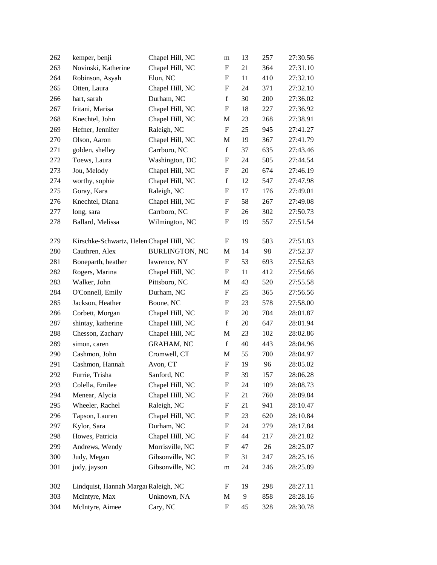| 262 | kemper, benji                            | Chapel Hill, NC       | m                         | 13 | 257 | 27:30.56 |
|-----|------------------------------------------|-----------------------|---------------------------|----|-----|----------|
| 263 | Novinski, Katherine                      | Chapel Hill, NC       | F                         | 21 | 364 | 27:31.10 |
| 264 | Robinson, Asyah                          | Elon, NC              | F                         | 11 | 410 | 27:32.10 |
| 265 | Otten, Laura                             | Chapel Hill, NC       | $\boldsymbol{F}$          | 24 | 371 | 27:32.10 |
| 266 | hart, sarah                              | Durham, NC            | $\mathbf f$               | 30 | 200 | 27:36.02 |
| 267 | Iritani, Marisa                          | Chapel Hill, NC       | $\boldsymbol{\mathrm{F}}$ | 18 | 227 | 27:36.92 |
| 268 | Knechtel, John                           | Chapel Hill, NC       | M                         | 23 | 268 | 27:38.91 |
| 269 | Hefner, Jennifer                         | Raleigh, NC           | $\boldsymbol{\mathrm{F}}$ | 25 | 945 | 27:41.27 |
| 270 | Olson, Aaron                             | Chapel Hill, NC       | M                         | 19 | 367 | 27:41.79 |
| 271 | golden, shelley                          | Carrboro, NC          | $\mathbf f$               | 37 | 635 | 27:43.46 |
| 272 | Toews, Laura                             | Washington, DC        | $\boldsymbol{\mathrm{F}}$ | 24 | 505 | 27:44.54 |
| 273 | Jou, Melody                              | Chapel Hill, NC       | F                         | 20 | 674 | 27:46.19 |
| 274 | worthy, sophie                           | Chapel Hill, NC       | $\mathbf f$               | 12 | 547 | 27:47.98 |
| 275 | Goray, Kara                              | Raleigh, NC           | F                         | 17 | 176 | 27:49.01 |
| 276 | Knechtel, Diana                          | Chapel Hill, NC       | $\boldsymbol{F}$          | 58 | 267 | 27:49.08 |
| 277 | long, sara                               | Carrboro, NC          | $\boldsymbol{\mathrm{F}}$ | 26 | 302 | 27:50.73 |
| 278 | Ballard, Melissa                         | Wilmington, NC        | $\boldsymbol{F}$          | 19 | 557 | 27:51.54 |
| 279 | Kirschke-Schwartz, Helen Chapel Hill, NC |                       | F                         | 19 | 583 | 27:51.83 |
| 280 | Cauthren, Alex                           | <b>BURLINGTON, NC</b> | M                         | 14 | 98  | 27:52.37 |
| 281 | Boneparth, heather                       | lawrence, NY          | F                         | 53 | 693 | 27:52.63 |
| 282 | Rogers, Marina                           | Chapel Hill, NC       | F                         | 11 | 412 | 27:54.66 |
| 283 | Walker, John                             | Pittsboro, NC         | M                         | 43 | 520 | 27:55.58 |
| 284 | O'Connell, Emily                         | Durham, NC            | $\boldsymbol{\mathrm{F}}$ | 25 | 365 | 27:56.56 |
| 285 | Jackson, Heather                         | Boone, NC             | $\boldsymbol{F}$          | 23 | 578 | 27:58.00 |
| 286 | Corbett, Morgan                          | Chapel Hill, NC       | $\boldsymbol{F}$          | 20 | 704 | 28:01.87 |
| 287 | shintay, katherine                       | Chapel Hill, NC       | $\mathbf f$               | 20 | 647 | 28:01.94 |
| 288 | Chesson, Zachary                         | Chapel Hill, NC       | M                         | 23 | 102 | 28:02.86 |
| 289 | simon, caren                             | <b>GRAHAM, NC</b>     | $\mathbf f$               | 40 | 443 | 28:04.96 |
| 290 | Cashmon, John                            | Cromwell, CT          | M                         | 55 | 700 | 28:04.97 |
| 291 | Cashmon, Hannah                          | Avon, CT              | $\boldsymbol{\mathrm{F}}$ | 19 | 96  | 28:05.02 |
| 292 | Furrie, Trisha                           | Sanford, NC           | $\boldsymbol{\mathrm{F}}$ | 39 | 157 | 28:06.28 |
| 293 | Colella, Emilee                          | Chapel Hill, NC       | $\boldsymbol{F}$          | 24 | 109 | 28:08.73 |
| 294 | Menear, Alycia                           | Chapel Hill, NC       | $\boldsymbol{\mathrm{F}}$ | 21 | 760 | 28:09.84 |
| 295 | Wheeler, Rachel                          | Raleigh, NC           | F                         | 21 | 941 | 28:10.47 |
| 296 | Tapson, Lauren                           | Chapel Hill, NC       | $\boldsymbol{F}$          | 23 | 620 | 28:10.84 |
| 297 | Kylor, Sara                              | Durham, NC            | $\boldsymbol{F}$          | 24 | 279 | 28:17.84 |
| 298 | Howes, Patricia                          | Chapel Hill, NC       | $\boldsymbol{F}$          | 44 | 217 | 28:21.82 |
| 299 | Andrews, Wendy                           | Morrisville, NC       | $\boldsymbol{F}$          | 47 | 26  | 28:25.07 |
| 300 | Judy, Megan                              | Gibsonville, NC       | $\boldsymbol{F}$          | 31 | 247 | 28:25.16 |
| 301 | judy, jayson                             | Gibsonville, NC       | m                         | 24 | 246 | 28:25.89 |
| 302 | Lindquist, Hannah Margar Raleigh, NC     |                       | F                         | 19 | 298 | 28:27.11 |
| 303 | McIntyre, Max                            | Unknown, NA           | M                         | 9  | 858 | 28:28.16 |
| 304 | McIntyre, Aimee                          | Cary, NC              | ${\bf F}$                 | 45 | 328 | 28:30.78 |
|     |                                          |                       |                           |    |     |          |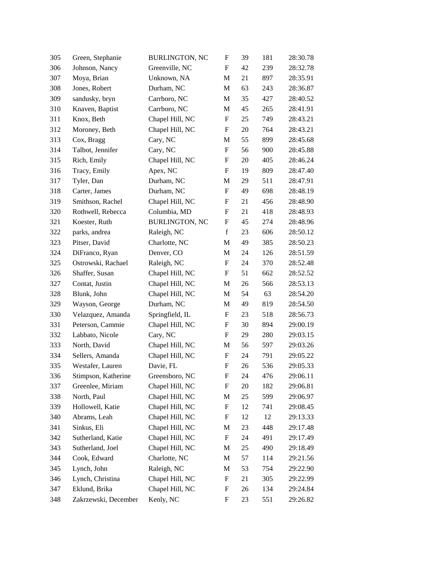| 305 | Green, Stephanie     | <b>BURLINGTON, NC</b> | F                         | 39 | 181 | 28:30.78 |
|-----|----------------------|-----------------------|---------------------------|----|-----|----------|
| 306 | Johnson, Nancy       | Greenville, NC        | F                         | 42 | 239 | 28:32.78 |
| 307 | Moya, Brian          | Unknown, NA           | M                         | 21 | 897 | 28:35.91 |
| 308 | Jones, Robert        | Durham, NC            | M                         | 63 | 243 | 28:36.87 |
| 309 | sandusky, bryn       | Carrboro, NC          | M                         | 35 | 427 | 28:40.52 |
| 310 | Knaven, Baptist      | Carrboro, NC          | M                         | 45 | 265 | 28:41.91 |
| 311 | Knox, Beth           | Chapel Hill, NC       | F                         | 25 | 749 | 28:43.21 |
| 312 | Moroney, Beth        | Chapel Hill, NC       | F                         | 20 | 764 | 28:43.21 |
| 313 | Cox, Bragg           | Cary, NC              | M                         | 55 | 899 | 28:45.68 |
| 314 | Talbot, Jennifer     | Cary, NC              | $\boldsymbol{\mathrm{F}}$ | 56 | 900 | 28:45.88 |
| 315 | Rich, Emily          | Chapel Hill, NC       | $\mathbf F$               | 20 | 405 | 28:46.24 |
| 316 | Tracy, Emily         | Apex, NC              | F                         | 19 | 809 | 28:47.40 |
| 317 | Tyler, Dan           | Durham, NC            | M                         | 29 | 511 | 28:47.91 |
| 318 | Carter, James        | Durham, NC            | $\boldsymbol{\mathrm{F}}$ | 49 | 698 | 28:48.19 |
| 319 | Smithson, Rachel     | Chapel Hill, NC       | F                         | 21 | 456 | 28:48.90 |
| 320 | Rothwell, Rebecca    | Columbia, MD          | $\mathbf F$               | 21 | 418 | 28:48.93 |
| 321 | Koester, Ruth        | <b>BURLINGTON, NC</b> | F                         | 45 | 274 | 28:48.96 |
| 322 | parks, andrea        | Raleigh, NC           | $\mathbf f$               | 23 | 606 | 28:50.12 |
| 323 | Pitser, David        | Charlotte, NC         | M                         | 49 | 385 | 28:50.23 |
| 324 | DiFranco, Ryan       | Denver, CO            | M                         | 24 | 126 | 28:51.59 |
| 325 | Ostrowski, Rachael   | Raleigh, NC           | F                         | 24 | 370 | 28:52.48 |
| 326 | Shaffer, Susan       | Chapel Hill, NC       | F                         | 51 | 662 | 28:52.52 |
| 327 | Contat, Justin       | Chapel Hill, NC       | M                         | 26 | 566 | 28:53.13 |
| 328 | Blunk, John          | Chapel Hill, NC       | M                         | 54 | 63  | 28:54.20 |
| 329 | Wayson, George       | Durham, NC            | M                         | 49 | 819 | 28:54.50 |
| 330 | Velazquez, Amanda    | Springfield, IL       | F                         | 23 | 518 | 28:56.73 |
| 331 | Peterson, Cammie     | Chapel Hill, NC       | F                         | 30 | 894 | 29:00.19 |
| 332 | Labbato, Nicole      | Cary, NC              | F                         | 29 | 280 | 29:03.15 |
| 333 | North, David         | Chapel Hill, NC       | M                         | 56 | 597 | 29:03.26 |
| 334 | Sellers, Amanda      | Chapel Hill, NC       | $\boldsymbol{F}$          | 24 | 791 | 29:05.22 |
| 335 | Westafer, Lauren     | Davie, FL             | $\boldsymbol{\mathrm{F}}$ | 26 | 536 | 29:05.33 |
| 336 | Stimpson, Katherine  | Greensboro, NC        | F                         | 24 | 476 | 29:06.11 |
| 337 | Greenlee, Miriam     | Chapel Hill, NC       | F                         | 20 | 182 | 29:06.81 |
| 338 | North, Paul          | Chapel Hill, NC       | М                         | 25 | 599 | 29:06.97 |
| 339 | Hollowell, Katie     | Chapel Hill, NC       | F                         | 12 | 741 | 29:08.45 |
| 340 | Abrams, Leah         | Chapel Hill, NC       | F                         | 12 | 12  | 29:13.33 |
| 341 | Sinkus, Eli          | Chapel Hill, NC       | M                         | 23 | 448 | 29:17.48 |
| 342 | Sutherland, Katie    | Chapel Hill, NC       | F                         | 24 | 491 | 29:17.49 |
| 343 | Sutherland, Joel     | Chapel Hill, NC       | M                         | 25 | 490 | 29:18.49 |
| 344 | Cook, Edward         | Charlotte, NC         | M                         | 57 | 114 | 29:21.56 |
| 345 | Lynch, John          | Raleigh, NC           | M                         | 53 | 754 | 29:22.90 |
| 346 | Lynch, Christina     | Chapel Hill, NC       | F                         | 21 | 305 | 29:22.99 |
| 347 | Eklund, Brika        | Chapel Hill, NC       | F                         | 26 | 134 | 29:24.84 |
| 348 | Zakrzewski, December | Kenly, NC             | F                         | 23 | 551 | 29:26.82 |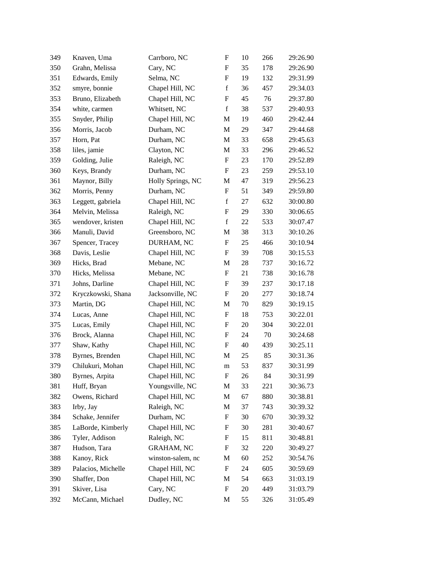| 350<br>351<br>352 | Grahn, Melissa<br>Edwards, Emily<br>smyre, bonnie<br>Bruno, Elizabeth | Cary, NC<br>Selma, NC<br>Chapel Hill, NC | F<br>F                    | 35<br>19 | 178<br>132 | 29:26.90<br>29:31.99 |
|-------------------|-----------------------------------------------------------------------|------------------------------------------|---------------------------|----------|------------|----------------------|
|                   |                                                                       |                                          |                           |          |            |                      |
|                   |                                                                       |                                          |                           |          |            |                      |
|                   |                                                                       |                                          | $\mathbf f$               | 36       | 457        | 29:34.03             |
| 353               |                                                                       | Chapel Hill, NC                          | F                         | 45       | 76         | 29:37.80             |
| 354               | white, carmen                                                         | Whitsett, NC                             | $\mathbf f$               | 38       | 537        | 29:40.93             |
| 355               | Snyder, Philip                                                        | Chapel Hill, NC                          | M                         | 19       | 460        | 29:42.44             |
| 356               | Morris, Jacob                                                         | Durham, NC                               | M                         | 29       | 347        | 29:44.68             |
| 357               | Horn, Pat                                                             | Durham, NC                               | M                         | 33       | 658        | 29:45.63             |
| 358               | liles, jamie                                                          | Clayton, NC                              | M                         | 33       | 296        | 29:46.52             |
| 359               | Golding, Julie                                                        | Raleigh, NC                              | ${\rm F}$                 | 23       | 170        | 29:52.89             |
| 360               | Keys, Brandy                                                          | Durham, NC                               | F                         | 23       | 259        | 29:53.10             |
| 361               | Maynor, Billy                                                         | Holly Springs, NC                        | M                         | 47       | 319        | 29:56.23             |
| 362               | Morris, Penny                                                         | Durham, NC                               | ${\rm F}$                 | 51       | 349        | 29:59.80             |
| 363               | Leggett, gabriela                                                     | Chapel Hill, NC                          | $\mathbf f$               | 27       | 632        | 30:00.80             |
| 364               | Melvin, Melissa                                                       | Raleigh, NC                              | ${\bf F}$                 | 29       | 330        | 30:06.65             |
| 365               | wendover, kristen                                                     | Chapel Hill, NC                          | $\mathbf f$               | 22       | 533        | 30:07.47             |
| 366               | Manuli, David                                                         | Greensboro, NC                           | M                         | 38       | 313        | 30:10.26             |
| 367               | Spencer, Tracey                                                       | DURHAM, NC                               | ${\rm F}$                 | 25       | 466        | 30:10.94             |
| 368               | Davis, Leslie                                                         | Chapel Hill, NC                          | F                         | 39       | 708        | 30:15.53             |
| 369               | Hicks, Brad                                                           | Mebane, NC                               | M                         | 28       | 737        | 30:16.72             |
| 370               | Hicks, Melissa                                                        | Mebane, NC                               | F                         | 21       | 738        | 30:16.78             |
| 371               | Johns, Darline                                                        | Chapel Hill, NC                          | F                         | 39       | 237        | 30:17.18             |
| 372               | Kryczkowski, Shana                                                    | Jacksonville, NC                         | $\boldsymbol{\mathrm{F}}$ | 20       | 277        | 30:18.74             |
| 373               | Martin, DG                                                            | Chapel Hill, NC                          | M                         | 70       | 829        | 30:19.15             |
| 374               | Lucas, Anne                                                           | Chapel Hill, NC                          | ${\rm F}$                 | 18       | 753        | 30:22.01             |
| 375               | Lucas, Emily                                                          | Chapel Hill, NC                          | F                         | 20       | 304        | 30:22.01             |
| 376               | Brock, Alanna                                                         | Chapel Hill, NC                          | F                         | 24       | $70\,$     | 30:24.68             |
| 377               | Shaw, Kathy                                                           | Chapel Hill, NC                          | $\boldsymbol{\mathrm{F}}$ | 40       | 439        | 30:25.11             |
| 378               | Byrnes, Brenden                                                       | Chapel Hill, NC                          | M                         | 25       | 85         | 30:31.36             |
| 379               | Chilukuri, Mohan                                                      | Chapel Hill, NC                          | m                         | 53       | 837        | 30:31.99             |
| 380               | Byrnes, Arpita                                                        | Chapel Hill, NC                          | $\mathbf F$               | 26       | 84         | 30:31.99             |
| 381               | Huff, Bryan                                                           | Youngsville, NC                          | M                         | 33       | 221        | 30:36.73             |
| 382               | Owens, Richard                                                        | Chapel Hill, NC                          | M                         | 67       | 880        | 30:38.81             |
| 383               | Irby, Jay                                                             | Raleigh, NC                              | M                         | 37       | 743        | 30:39.32             |
| 384               | Schake, Jennifer                                                      | Durham, NC                               | ${\rm F}$                 | 30       | 670        | 30:39.32             |
| 385               | LaBorde, Kimberly                                                     | Chapel Hill, NC                          | F                         | 30       | 281        | 30:40.67             |
| 386               | Tyler, Addison                                                        | Raleigh, NC                              | F                         | 15       | 811        | 30:48.81             |
| 387               | Hudson, Tara                                                          | <b>GRAHAM, NC</b>                        | F                         | 32       | 220        | 30:49.27             |
| 388               | Kanoy, Rick                                                           | winston-salem, nc                        | М                         | 60       | 252        | 30:54.76             |
| 389               | Palacios, Michelle                                                    | Chapel Hill, NC                          | $\boldsymbol{\mathrm{F}}$ | 24       | 605        | 30:59.69             |
| 390               | Shaffer, Don                                                          | Chapel Hill, NC                          | M                         | 54       | 663        | 31:03.19             |
| 391               | Skiver, Lisa                                                          | Cary, NC                                 | F                         | 20       | 449        | 31:03.79             |
| 392               | McCann, Michael                                                       | Dudley, NC                               | M                         | 55       | 326        | 31:05.49             |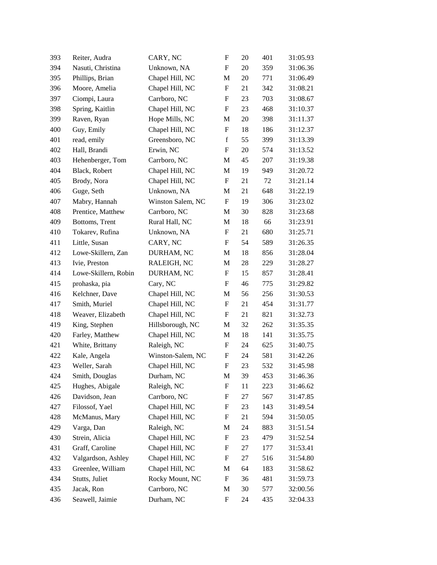| 393 | Reiter, Audra        | CARY, NC          | ${\rm F}$                 | 20 | 401 | 31:05.93 |
|-----|----------------------|-------------------|---------------------------|----|-----|----------|
| 394 | Nasuti, Christina    | Unknown, NA       | $\boldsymbol{\mathrm{F}}$ | 20 | 359 | 31:06.36 |
| 395 | Phillips, Brian      | Chapel Hill, NC   | M                         | 20 | 771 | 31:06.49 |
| 396 | Moore, Amelia        | Chapel Hill, NC   | F                         | 21 | 342 | 31:08.21 |
| 397 | Ciompi, Laura        | Carrboro, NC      | ${\bf F}$                 | 23 | 703 | 31:08.67 |
| 398 | Spring, Kaitlin      | Chapel Hill, NC   | $\boldsymbol{\mathrm{F}}$ | 23 | 468 | 31:10.37 |
| 399 | Raven, Ryan          | Hope Mills, NC    | M                         | 20 | 398 | 31:11.37 |
| 400 | Guy, Emily           | Chapel Hill, NC   | ${\rm F}$                 | 18 | 186 | 31:12.37 |
| 401 | read, emily          | Greensboro, NC    | $\mathbf f$               | 55 | 399 | 31:13.39 |
| 402 | Hall, Brandi         | Erwin, NC         | $\boldsymbol{\mathrm{F}}$ | 20 | 574 | 31:13.52 |
| 403 | Hehenberger, Tom     | Carrboro, NC      | M                         | 45 | 207 | 31:19.38 |
| 404 | Black, Robert        | Chapel Hill, NC   | M                         | 19 | 949 | 31:20.72 |
| 405 | Brody, Nora          | Chapel Hill, NC   | F                         | 21 | 72  | 31:21.14 |
| 406 | Guge, Seth           | Unknown, NA       | M                         | 21 | 648 | 31:22.19 |
| 407 | Mabry, Hannah        | Winston Salem, NC | $\boldsymbol{\mathrm{F}}$ | 19 | 306 | 31:23.02 |
| 408 | Prentice, Matthew    | Carrboro, NC      | M                         | 30 | 828 | 31:23.68 |
| 409 | Bottoms, Trent       | Rural Hall, NC    | M                         | 18 | 66  | 31:23.91 |
| 410 | Tokarev, Rufina      | Unknown, NA       | F                         | 21 | 680 | 31:25.71 |
| 411 | Little, Susan        | CARY, NC          | $\mathbf F$               | 54 | 589 | 31:26.35 |
| 412 | Lowe-Skillern, Zan   | DURHAM, NC        | M                         | 18 | 856 | 31:28.04 |
| 413 | Ivie, Preston        | RALEIGH, NC       | M                         | 28 | 229 | 31:28.27 |
| 414 | Lowe-Skillern, Robin | DURHAM, NC        | F                         | 15 | 857 | 31:28.41 |
| 415 | prohaska, pia        | Cary, NC          | F                         | 46 | 775 | 31:29.82 |
| 416 | Kelchner, Dave       | Chapel Hill, NC   | M                         | 56 | 256 | 31:30.53 |
| 417 | Smith, Muriel        | Chapel Hill, NC   | $\mathbf F$               | 21 | 454 | 31:31.77 |
| 418 | Weaver, Elizabeth    | Chapel Hill, NC   | $\boldsymbol{\mathrm{F}}$ | 21 | 821 | 31:32.73 |
| 419 | King, Stephen        | Hillsborough, NC  | M                         | 32 | 262 | 31:35.35 |
| 420 | Farley, Matthew      | Chapel Hill, NC   | M                         | 18 | 141 | 31:35.75 |
| 421 | White, Brittany      | Raleigh, NC       | $\boldsymbol{F}$          | 24 | 625 | 31:40.75 |
| 422 | Kale, Angela         | Winston-Salem, NC | $\mathbf F$               | 24 | 581 | 31:42.26 |
| 423 | Weller, Sarah        | Chapel Hill, NC   | ${\bf F}$                 | 23 | 532 | 31:45.98 |
| 424 | Smith, Douglas       | Durham, NC        | M                         | 39 | 453 | 31:46.36 |
| 425 | Hughes, Abigale      | Raleigh, NC       | F                         | 11 | 223 | 31:46.62 |
| 426 | Davidson, Jean       | Carrboro, NC      | F                         | 27 | 567 | 31:47.85 |
| 427 | Filossof, Yael       | Chapel Hill, NC   | F                         | 23 | 143 | 31:49.54 |
| 428 | McManus, Mary        | Chapel Hill, NC   | $\mathbf F$               | 21 | 594 | 31:50.05 |
| 429 | Varga, Dan           | Raleigh, NC       | M                         | 24 | 883 | 31:51.54 |
| 430 | Strein, Alicia       | Chapel Hill, NC   | F                         | 23 | 479 | 31:52.54 |
| 431 | Graff, Caroline      | Chapel Hill, NC   | F                         | 27 | 177 | 31:53.41 |
| 432 | Valgardson, Ashley   | Chapel Hill, NC   | $\mathbf F$               | 27 | 516 | 31:54.80 |
| 433 | Greenlee, William    | Chapel Hill, NC   | M                         | 64 | 183 | 31:58.62 |
| 434 | Stutts, Juliet       | Rocky Mount, NC   | F                         | 36 | 481 | 31:59.73 |
| 435 | Jacak, Ron           | Carrboro, NC      | M                         | 30 | 577 | 32:00.56 |
| 436 | Seawell, Jaimie      | Durham, NC        | F                         | 24 | 435 | 32:04.33 |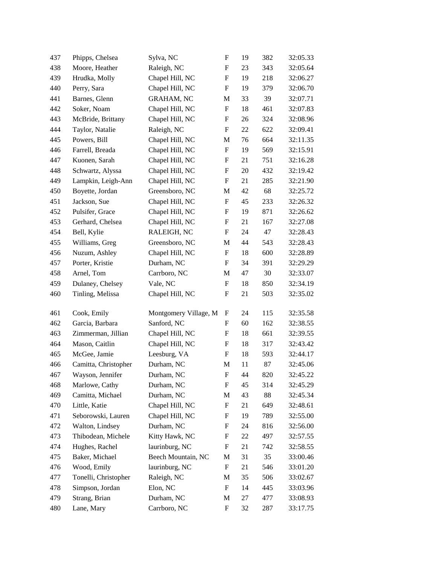| 437 | Phipps, Chelsea      | Sylva, NC             | $\boldsymbol{\mathrm{F}}$ | 19 | 382 | 32:05.33 |
|-----|----------------------|-----------------------|---------------------------|----|-----|----------|
| 438 | Moore, Heather       | Raleigh, NC           | ${\bf F}$                 | 23 | 343 | 32:05.64 |
| 439 | Hrudka, Molly        | Chapel Hill, NC       | F                         | 19 | 218 | 32:06.27 |
| 440 | Perry, Sara          | Chapel Hill, NC       | ${\rm F}$                 | 19 | 379 | 32:06.70 |
| 441 | Barnes, Glenn        | <b>GRAHAM, NC</b>     | M                         | 33 | 39  | 32:07.71 |
| 442 | Soker, Noam          | Chapel Hill, NC       | ${\bf F}$                 | 18 | 461 | 32:07.83 |
| 443 | McBride, Brittany    | Chapel Hill, NC       | F                         | 26 | 324 | 32:08.96 |
| 444 | Taylor, Natalie      | Raleigh, NC           | F                         | 22 | 622 | 32:09.41 |
| 445 | Powers, Bill         | Chapel Hill, NC       | M                         | 76 | 664 | 32:11.35 |
| 446 | Farrell, Breada      | Chapel Hill, NC       | F                         | 19 | 569 | 32:15.91 |
| 447 | Kuonen, Sarah        | Chapel Hill, NC       | F                         | 21 | 751 | 32:16.28 |
| 448 | Schwartz, Alyssa     | Chapel Hill, NC       | F                         | 20 | 432 | 32:19.42 |
| 449 | Lampkin, Leigh-Ann   | Chapel Hill, NC       | F                         | 21 | 285 | 32:21.90 |
| 450 | Boyette, Jordan      | Greensboro, NC        | M                         | 42 | 68  | 32:25.72 |
| 451 | Jackson, Sue         | Chapel Hill, NC       | F                         | 45 | 233 | 32:26.32 |
| 452 | Pulsifer, Grace      | Chapel Hill, NC       | F                         | 19 | 871 | 32:26.62 |
| 453 | Gerhard, Chelsea     | Chapel Hill, NC       | F                         | 21 | 167 | 32:27.08 |
| 454 | Bell, Kylie          | RALEIGH, NC           | F                         | 24 | 47  | 32:28.43 |
| 455 | Williams, Greg       | Greensboro, NC        | M                         | 44 | 543 | 32:28.43 |
| 456 | Nuzum, Ashley        | Chapel Hill, NC       | F                         | 18 | 600 | 32:28.89 |
| 457 | Porter, Kristie      | Durham, NC            | F                         | 34 | 391 | 32:29.29 |
| 458 | Arnel, Tom           | Carrboro, NC          | M                         | 47 | 30  | 32:33.07 |
| 459 | Dulaney, Chelsey     | Vale, NC              | F                         | 18 | 850 | 32:34.19 |
| 460 | Tinling, Melissa     | Chapel Hill, NC       | F                         | 21 | 503 | 32:35.02 |
| 461 | Cook, Emily          | Montgomery Village, M | F                         | 24 | 115 | 32:35.58 |
| 462 | Garcia, Barbara      | Sanford, NC           | $\mathbf F$               | 60 | 162 | 32:38.55 |
| 463 | Zimmerman, Jillian   | Chapel Hill, NC       | F                         | 18 | 661 | 32:39.55 |
| 464 | Mason, Caitlin       | Chapel Hill, NC       | F                         | 18 | 317 | 32:43.42 |
| 465 | McGee, Jamie         | Leesburg, VA          | F                         | 18 | 593 | 32:44.17 |
| 466 | Camitta, Christopher | Durham, NC            | M                         | 11 | 87  | 32:45.06 |
| 467 | Wayson, Jennifer     | Durham, NC            | $\mathbf F$               | 44 | 820 | 32:45.22 |
| 468 | Marlowe, Cathy       | Durham, NC            | F                         | 45 | 314 | 32:45.29 |
| 469 | Camitta, Michael     | Durham, NC            | M                         | 43 | 88  | 32:45.34 |
| 470 | Little, Katie        | Chapel Hill, NC       | F                         | 21 | 649 | 32:48.61 |
| 471 | Seborowski, Lauren   | Chapel Hill, NC       | F                         | 19 | 789 | 32:55.00 |
| 472 | Walton, Lindsey      | Durham, NC            | F                         | 24 | 816 | 32:56.00 |
| 473 | Thibodean, Michele   | Kitty Hawk, NC        | F                         | 22 | 497 | 32:57.55 |
| 474 | Hughes, Rachel       | laurinburg, NC        | F                         | 21 | 742 | 32:58.55 |
| 475 | Baker, Michael       | Beech Mountain, NC    | M                         | 31 | 35  | 33:00.46 |
| 476 | Wood, Emily          | laurinburg, NC        | F                         | 21 | 546 | 33:01.20 |
| 477 | Tonelli, Christopher | Raleigh, NC           | M                         | 35 | 506 | 33:02.67 |
| 478 | Simpson, Jordan      | Elon, NC              | F                         | 14 | 445 | 33:03.96 |
| 479 | Strang, Brian        | Durham, NC            | M                         | 27 | 477 | 33:08.93 |
| 480 | Lane, Mary           | Carrboro, NC          | F                         | 32 | 287 | 33:17.75 |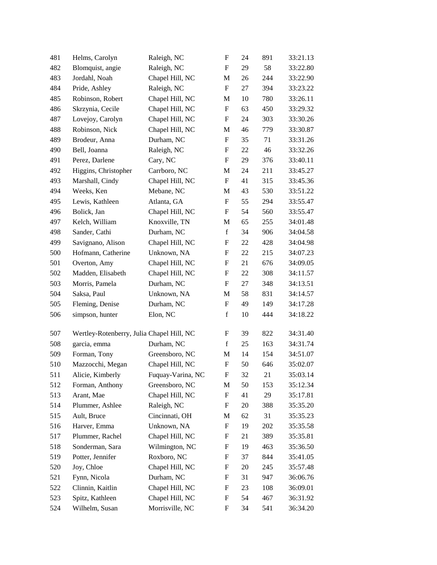| 481 | Helms, Carolyn                            | Raleigh, NC       | $\boldsymbol{\mathrm{F}}$ | 24 | 891 | 33:21.13 |
|-----|-------------------------------------------|-------------------|---------------------------|----|-----|----------|
| 482 | Blomquist, angie                          | Raleigh, NC       | F                         | 29 | 58  | 33:22.80 |
| 483 | Jordahl, Noah                             | Chapel Hill, NC   | M                         | 26 | 244 | 33:22.90 |
| 484 | Pride, Ashley                             | Raleigh, NC       | $\boldsymbol{\mathrm{F}}$ | 27 | 394 | 33:23.22 |
| 485 | Robinson, Robert                          | Chapel Hill, NC   | M                         | 10 | 780 | 33:26.11 |
| 486 | Skrzynia, Cecile                          | Chapel Hill, NC   | $\boldsymbol{\mathrm{F}}$ | 63 | 450 | 33:29.32 |
| 487 | Lovejoy, Carolyn                          | Chapel Hill, NC   | F                         | 24 | 303 | 33:30.26 |
| 488 | Robinson, Nick                            | Chapel Hill, NC   | M                         | 46 | 779 | 33:30.87 |
| 489 | Brodeur, Anna                             | Durham, NC        | $\boldsymbol{\mathrm{F}}$ | 35 | 71  | 33:31.26 |
| 490 | Bell, Joanna                              | Raleigh, NC       | F                         | 22 | 46  | 33:32.26 |
| 491 | Perez, Darlene                            | Cary, NC          | $\boldsymbol{\mathrm{F}}$ | 29 | 376 | 33:40.11 |
| 492 | Higgins, Christopher                      | Carrboro, NC      | M                         | 24 | 211 | 33:45.27 |
| 493 | Marshall, Cindy                           | Chapel Hill, NC   | F                         | 41 | 315 | 33:45.36 |
| 494 | Weeks, Ken                                | Mebane, NC        | M                         | 43 | 530 | 33:51.22 |
| 495 | Lewis, Kathleen                           | Atlanta, GA       | F                         | 55 | 294 | 33:55.47 |
| 496 | Bolick, Jan                               | Chapel Hill, NC   | $\boldsymbol{\mathrm{F}}$ | 54 | 560 | 33:55.47 |
| 497 | Kelch, William                            | Knoxville, TN     | M                         | 65 | 255 | 34:01.48 |
| 498 | Sander, Cathi                             | Durham, NC        | $\mathbf f$               | 34 | 906 | 34:04.58 |
| 499 | Savignano, Alison                         | Chapel Hill, NC   | $\boldsymbol{\mathrm{F}}$ | 22 | 428 | 34:04.98 |
| 500 | Hofmann, Catherine                        | Unknown, NA       | F                         | 22 | 215 | 34:07.23 |
| 501 | Overton, Amy                              | Chapel Hill, NC   | $\boldsymbol{\mathrm{F}}$ | 21 | 676 | 34:09.05 |
| 502 | Madden, Elisabeth                         | Chapel Hill, NC   | F                         | 22 | 308 | 34:11.57 |
| 503 | Morris, Pamela                            | Durham, NC        | F                         | 27 | 348 | 34:13.51 |
| 504 | Saksa, Paul                               | Unknown, NA       | M                         | 58 | 831 | 34:14.57 |
| 505 | Fleming, Denise                           | Durham, NC        | F                         | 49 | 149 | 34:17.28 |
| 506 | simpson, hunter                           | Elon, NC          | $\mathbf f$               | 10 | 444 | 34:18.22 |
| 507 | Wertley-Rotenberry, Julia Chapel Hill, NC |                   | F                         | 39 | 822 | 34:31.40 |
| 508 | garcia, emma                              | Durham, NC        | $\mathbf f$               | 25 | 163 | 34:31.74 |
| 509 | Forman, Tony                              | Greensboro, NC    | M                         | 14 | 154 | 34:51.07 |
| 510 | Mazzocchi, Megan                          | Chapel Hill, NC   | $\boldsymbol{\mathrm{F}}$ | 50 | 646 | 35:02.07 |
| 511 | Alicie, Kimberly                          | Fuquay-Varina, NC | F                         | 32 | 21  | 35:03.14 |
| 512 | Forman, Anthony                           | Greensboro, NC    | M                         | 50 | 153 | 35:12.34 |
| 513 | Arant, Mae                                | Chapel Hill, NC   | F                         | 41 | 29  | 35:17.81 |
| 514 | Plummer, Ashlee                           | Raleigh, NC       | $\boldsymbol{F}$          | 20 | 388 | 35:35.20 |
| 515 | Ault, Bruce                               | Cincinnati, OH    | М                         | 62 | 31  | 35:35.23 |
| 516 | Harver, Emma                              | Unknown, NA       | $\boldsymbol{\mathrm{F}}$ | 19 | 202 | 35:35.58 |
| 517 | Plummer, Rachel                           | Chapel Hill, NC   | F                         | 21 | 389 | 35:35.81 |
| 518 | Sonderman, Sara                           | Wilmington, NC    | F                         | 19 | 463 | 35:36.50 |
| 519 | Potter, Jennifer                          | Roxboro, NC       | F                         | 37 | 844 | 35:41.05 |
| 520 | Joy, Chloe                                | Chapel Hill, NC   | F                         | 20 | 245 | 35:57.48 |
| 521 | Fynn, Nicola                              | Durham, NC        | F                         | 31 | 947 | 36:06.76 |
| 522 | Clinnin, Kaitlin                          | Chapel Hill, NC   | F                         | 23 | 108 | 36:09.01 |
| 523 | Spitz, Kathleen                           | Chapel Hill, NC   | F                         | 54 | 467 | 36:31.92 |
| 524 | Wilhelm, Susan                            | Morrisville, NC   | F                         | 34 | 541 | 36:34.20 |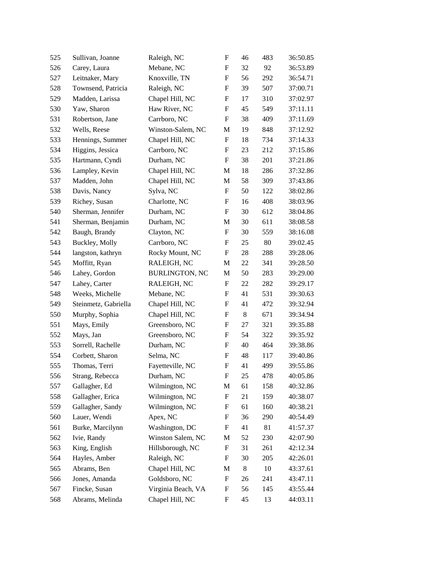| 525 | Sullivan, Joanne     | Raleigh, NC           | F                         | 46 | 483 | 36:50.85 |
|-----|----------------------|-----------------------|---------------------------|----|-----|----------|
| 526 | Carey, Laura         | Mebane, NC            | F                         | 32 | 92  | 36:53.89 |
| 527 | Leitnaker, Mary      | Knoxville, TN         | F                         | 56 | 292 | 36:54.71 |
| 528 | Townsend, Patricia   | Raleigh, NC           | $\boldsymbol{\mathrm{F}}$ | 39 | 507 | 37:00.71 |
| 529 | Madden, Larissa      | Chapel Hill, NC       | F                         | 17 | 310 | 37:02.97 |
| 530 | Yaw, Sharon          | Haw River, NC         | F                         | 45 | 549 | 37:11.11 |
| 531 | Robertson, Jane      | Carrboro, NC          | F                         | 38 | 409 | 37:11.69 |
| 532 | Wells, Reese         | Winston-Salem, NC     | M                         | 19 | 848 | 37:12.92 |
| 533 | Hennings, Summer     | Chapel Hill, NC       | ${\bf F}$                 | 18 | 734 | 37:14.33 |
| 534 | Higgins, Jessica     | Carrboro, NC          | F                         | 23 | 212 | 37:15.86 |
| 535 | Hartmann, Cyndi      | Durham, NC            | F                         | 38 | 201 | 37:21.86 |
| 536 | Lampley, Kevin       | Chapel Hill, NC       | M                         | 18 | 286 | 37:32.86 |
| 537 | Madden, John         | Chapel Hill, NC       | M                         | 58 | 309 | 37:43.86 |
| 538 | Davis, Nancy         | Sylva, NC             | ${\bf F}$                 | 50 | 122 | 38:02.86 |
| 539 | Richey, Susan        | Charlotte, NC         | F                         | 16 | 408 | 38:03.96 |
| 540 | Sherman, Jennifer    | Durham, NC            | F                         | 30 | 612 | 38:04.86 |
| 541 | Sherman, Benjamin    | Durham, NC            | M                         | 30 | 611 | 38:08.58 |
| 542 | Baugh, Brandy        | Clayton, NC           | F                         | 30 | 559 | 38:16.08 |
| 543 | Buckley, Molly       | Carrboro, NC          | F                         | 25 | 80  | 39:02.45 |
| 544 | langston, kathryn    | Rocky Mount, NC       | F                         | 28 | 288 | 39:28.06 |
| 545 | Moffitt, Ryan        | RALEIGH, NC           | M                         | 22 | 341 | 39:28.50 |
| 546 | Lahey, Gordon        | <b>BURLINGTON, NC</b> | M                         | 50 | 283 | 39:29.00 |
| 547 | Lahey, Carter        | RALEIGH, NC           | F                         | 22 | 282 | 39:29.17 |
| 548 | Weeks, Michelle      | Mebane, NC            | F                         | 41 | 531 | 39:30.63 |
| 549 | Steinmetz, Gabriella | Chapel Hill, NC       | F                         | 41 | 472 | 39:32.94 |
| 550 | Murphy, Sophia       | Chapel Hill, NC       | F                         | 8  | 671 | 39:34.94 |
| 551 | Mays, Emily          | Greensboro, NC        | F                         | 27 | 321 | 39:35.88 |
| 552 | Mays, Jan            | Greensboro, NC        | F                         | 54 | 322 | 39:35.92 |
| 553 | Sorrell, Rachelle    | Durham, NC            | F                         | 40 | 464 | 39:38.86 |
| 554 | Corbett, Sharon      | Selma, NC             | F                         | 48 | 117 | 39:40.86 |
| 555 | Thomas, Terri        | Fayetteville, NC      | F                         | 41 | 499 | 39:55.86 |
| 556 | Strang, Rebecca      | Durham, NC            | ${\bf F}$                 | 25 | 478 | 40:05.86 |
| 557 | Gallagher, Ed        | Wilmington, NC        | M                         | 61 | 158 | 40:32.86 |
| 558 | Gallagher, Erica     | Wilmington, NC        | $\boldsymbol{\mathrm{F}}$ | 21 | 159 | 40:38.07 |
| 559 | Gallagher, Sandy     | Wilmington, NC        | $\boldsymbol{F}$          | 61 | 160 | 40:38.21 |
| 560 | Lauer, Wendi         | Apex, NC              | F                         | 36 | 290 | 40:54.49 |
| 561 | Burke, Marcilynn     | Washington, DC        | $\boldsymbol{F}$          | 41 | 81  | 41:57.37 |
| 562 | Ivie, Randy          | Winston Salem, NC     | M                         | 52 | 230 | 42:07.90 |
| 563 | King, English        | Hillsborough, NC      | F                         | 31 | 261 | 42:12.34 |
| 564 | Hayles, Amber        | Raleigh, NC           | F                         | 30 | 205 | 42:26.01 |
| 565 | Abrams, Ben          | Chapel Hill, NC       | M                         | 8  | 10  | 43:37.61 |
| 566 | Jones, Amanda        | Goldsboro, NC         | F                         | 26 | 241 | 43:47.11 |
| 567 | Fincke, Susan        | Virginia Beach, VA    | F                         | 56 | 145 | 43:55.44 |
| 568 | Abrams, Melinda      | Chapel Hill, NC       | ${\bf F}$                 | 45 | 13  | 44:03.11 |